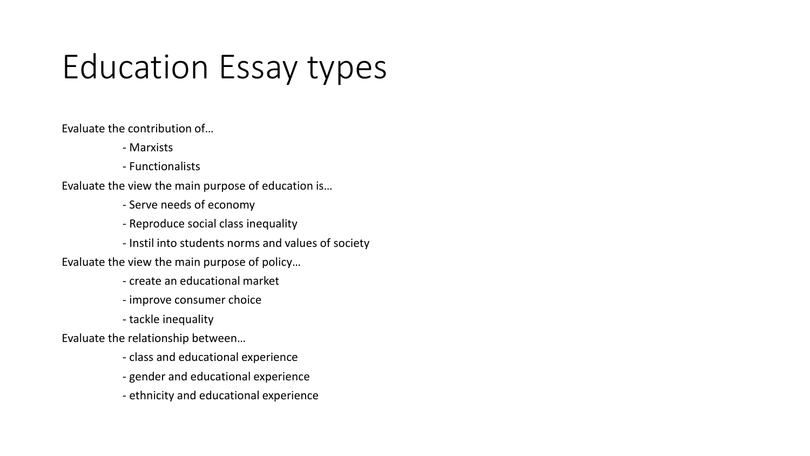## Education Essay types

Evaluate the contribution of…

- Marxists
- Functionalists

Evaluate the view the main purpose of education is…

- Serve needs of economy
- Reproduce social class inequality
- Instil into students norms and values of society
- Evaluate the view the main purpose of policy…
	- create an educational market
	- improve consumer choice
	- tackle inequality

Evaluate the relationship between…

- class and educational experience
- gender and educational experience
- ethnicity and educational experience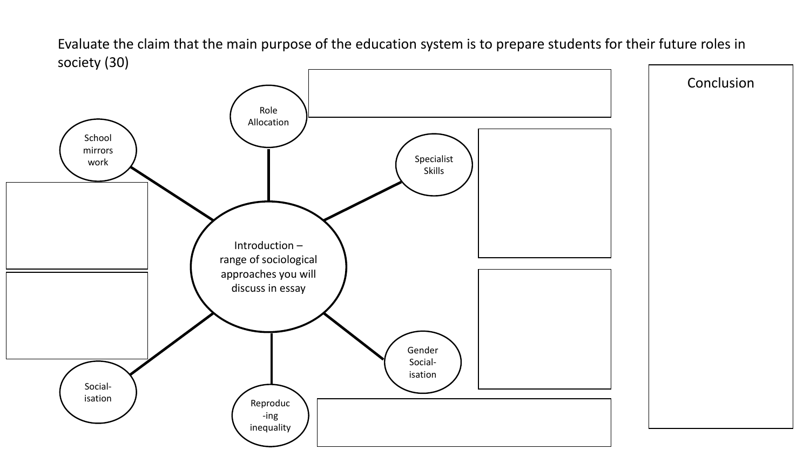Evaluate the claim that the main purpose of the education system is to prepare students for their future roles in society (30)

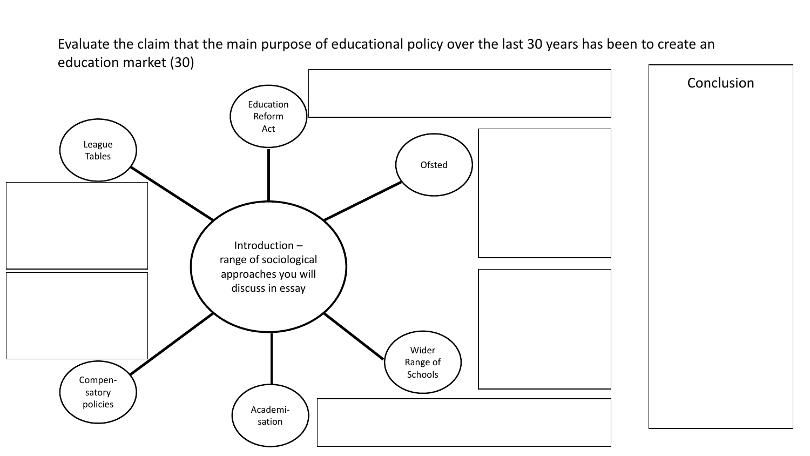Evaluate the claim that the main purpose of educational policy over the last 30 years has been to create an education market (30)

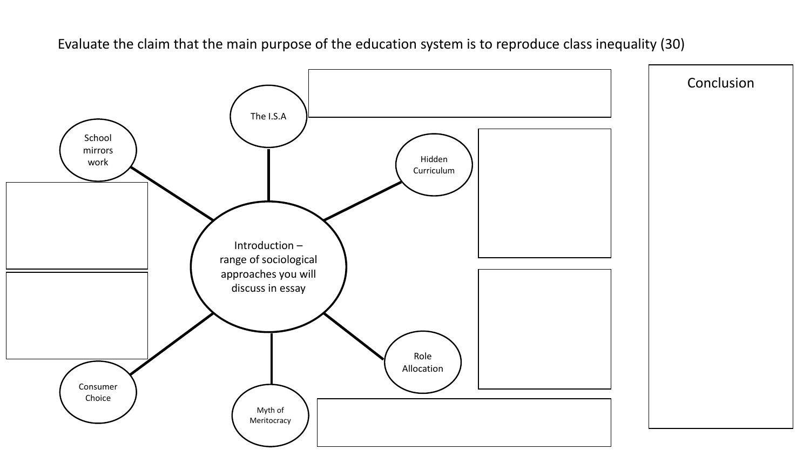Evaluate the claim that the main purpose of the education system is to reproduce class inequality (30)

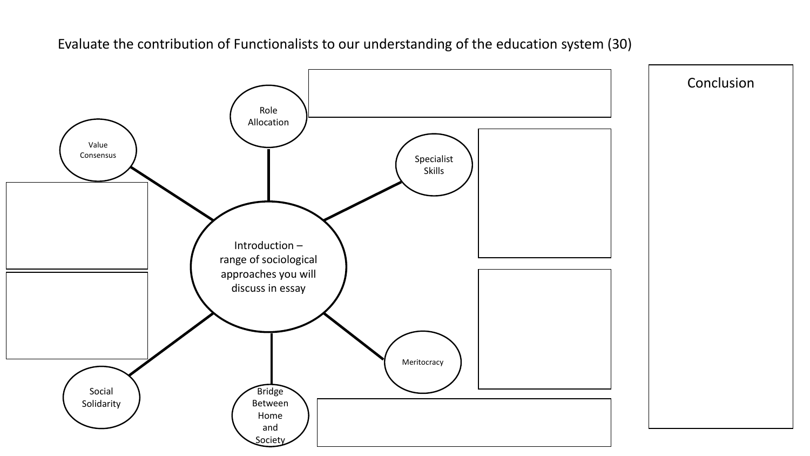Evaluate the contribution of Functionalists to our understanding of the education system (30)

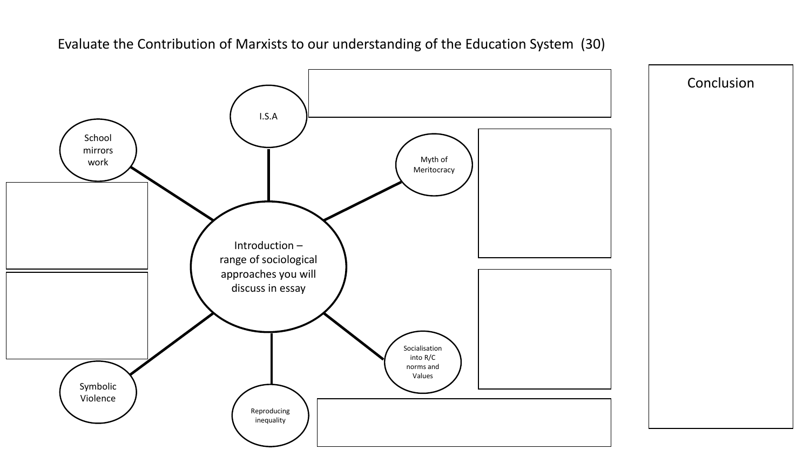Evaluate the Contribution of Marxists to our understanding of the Education System (30)

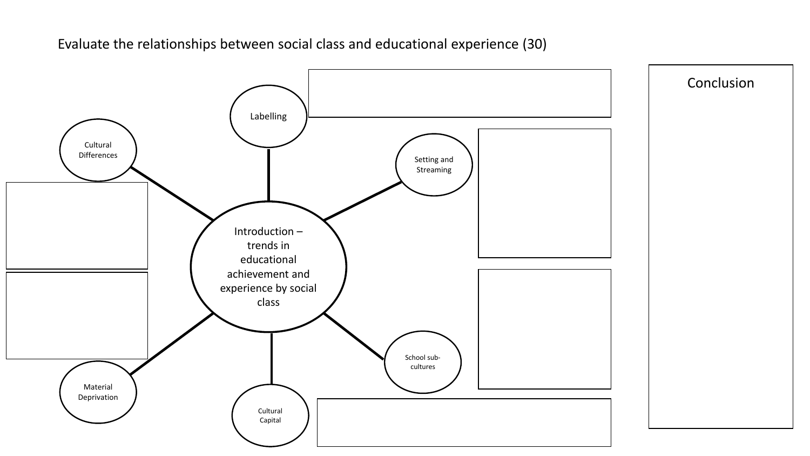Evaluate the relationships between social class and educational experience (30)

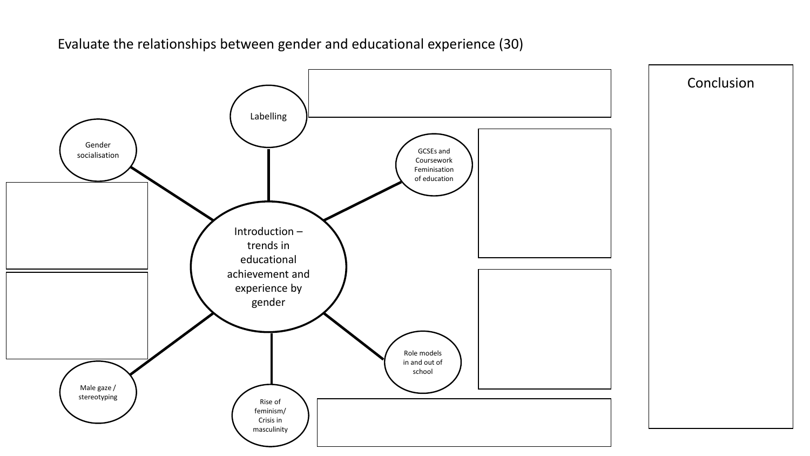Evaluate the relationships between gender and educational experience (30)